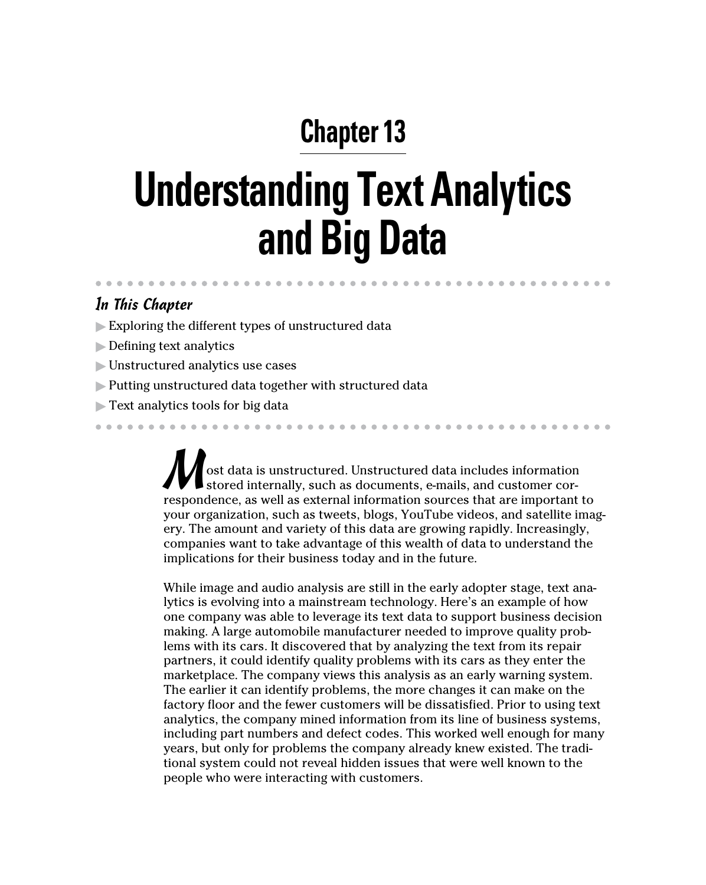### **Chapter 13**

# **Understanding Text Analytics and Big Data**

#### In This Chapter

- ▶ Exploring the different types of unstructured data
- ▶ Defining text analytics
- ▶ Unstructured analytics use cases
- ▶ Putting unstructured data together with structured data
- ▶ Text analytics tools for big data

ost data is unstructured. Unstructured data includes information stored internally, such as documents, e-mails, and customer correspondence, as well as external information sources that are important to your organization, such as tweets, blogs, YouTube videos, and satellite imagery. The amount and variety of this data are growing rapidly. Increasingly, companies want to take advantage of this wealth of data to understand the implications for their business today and in the future.

------

. . . . . . . . . . .

While image and audio analysis are still in the early adopter stage, text analytics is evolving into a mainstream technology. Here's an example of how one company was able to leverage its text data to support business decision making. A large automobile manufacturer needed to improve quality problems with its cars. It discovered that by analyzing the text from its repair partners, it could identify quality problems with its cars as they enter the marketplace. The company views this analysis as an early warning system. The earlier it can identify problems, the more changes it can make on the factory floor and the fewer customers will be dissatisfied. Prior to using text analytics, the company mined information from its line of business systems, including part numbers and defect codes. This worked well enough for many years, but only for problems the company already knew existed. The traditional system could not reveal hidden issues that were well known to the people who were interacting with customers.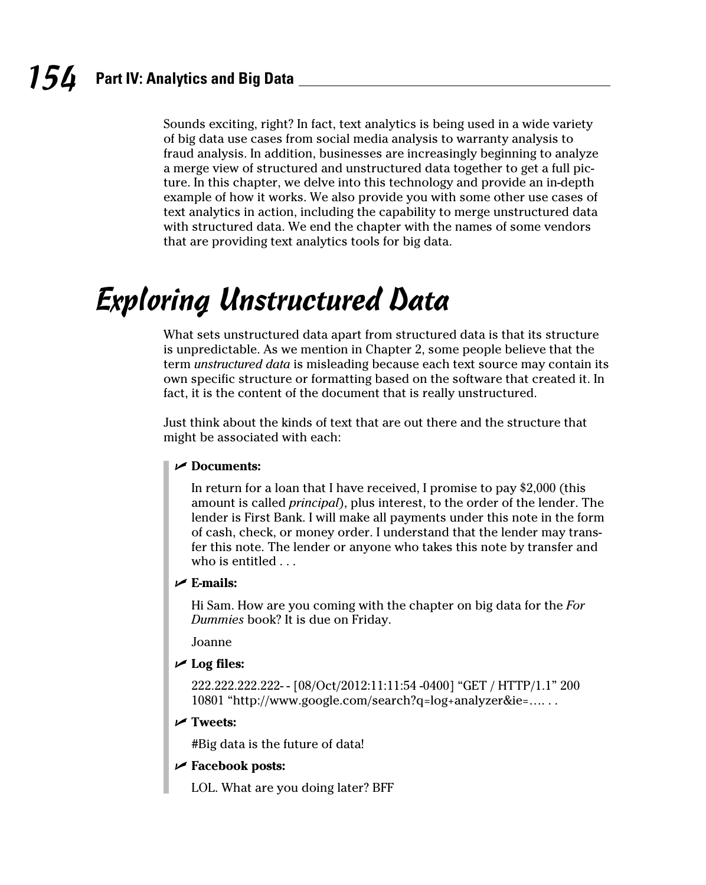Sounds exciting, right? In fact, text analytics is being used in a wide variety of big data use cases from social media analysis to warranty analysis to fraud analysis. In addition, businesses are increasingly beginning to analyze a merge view of structured and unstructured data together to get a full picture. In this chapter, we delve into this technology and provide an in-depth example of how it works. We also provide you with some other use cases of text analytics in action, including the capability to merge unstructured data with structured data. We end the chapter with the names of some vendors that are providing text analytics tools for big data.

# Exploring Unstructured Data

What sets unstructured data apart from structured data is that its structure is unpredictable. As we mention in Chapter 2, some people believe that the term *unstructured data* is misleading because each text source may contain its own specific structure or formatting based on the software that created it. In fact, it is the content of the document that is really unstructured.

Just think about the kinds of text that are out there and the structure that might be associated with each:

#### ✓ **Documents:**

In return for a loan that I have received, I promise to pay \$2,000 (this amount is called *principal*), plus interest, to the order of the lender. The lender is First Bank. I will make all payments under this note in the form of cash, check, or money order. I understand that the lender may transfer this note. The lender or anyone who takes this note by transfer and who is entitled . . .

#### ✓ **E-mails:**

Hi Sam. How are you coming with the chapter on big data for the *For Dummies* book? It is due on Friday.

Joanne

✓ **Log files:**

```
222.222.222.222- - [08/Oct/2012:11:11:54 -0400] "GET / HTTP/1.1" 200 
10801 "http://www.google.com/search?q=log+analyzer&ie=…. . .
```
✓ **Tweets:**

#Big data is the future of data!

✓ **Facebook posts:**

LOL. What are you doing later? BFF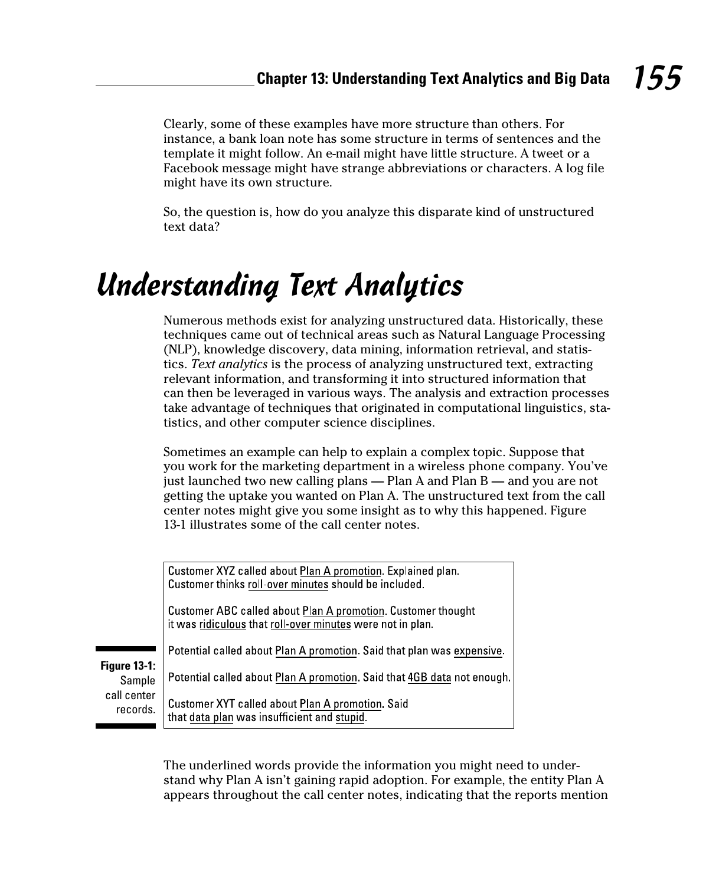Clearly, some of these examples have more structure than others. For instance, a bank loan note has some structure in terms of sentences and the template it might follow. An e-mail might have little structure. A tweet or a Facebook message might have strange abbreviations or characters. A log file might have its own structure.

So, the question is, how do you analyze this disparate kind of unstructured text data?

# Understanding Text Analytics

Numerous methods exist for analyzing unstructured data. Historically, these techniques came out of technical areas such as Natural Language Processing (NLP), knowledge discovery, data mining, information retrieval, and statistics. *Text analytics* is the process of analyzing unstructured text, extracting relevant information, and transforming it into structured information that can then be leveraged in various ways. The analysis and extraction processes take advantage of techniques that originated in computational linguistics, statistics, and other computer science disciplines.

Sometimes an example can help to explain a complex topic. Suppose that you work for the marketing department in a wireless phone company. You've just launched two new calling plans — Plan A and Plan B — and you are not getting the uptake you wanted on Plan A. The unstructured text from the call center notes might give you some insight as to why this happened. Figure 13-1 illustrates some of the call center notes.

Customer XYZ called about Plan A promotion, Explained plan. Customer thinks roll-over minutes should be included.

Customer ABC called about Plan A promotion, Customer thought it was ridiculous that roll-over minutes were not in plan.

Potential called about Plan A promotion. Said that plan was expensive.

Potential called about Plan A promotion. Said that 4GB data not enough.

**Figure 13-1:** Sample call center records.

Customer XYT called about Plan A promotion. Said that data plan was insufficient and stupid.

The underlined words provide the information you might need to understand why Plan A isn't gaining rapid adoption. For example, the entity Plan A appears throughout the call center notes, indicating that the reports mention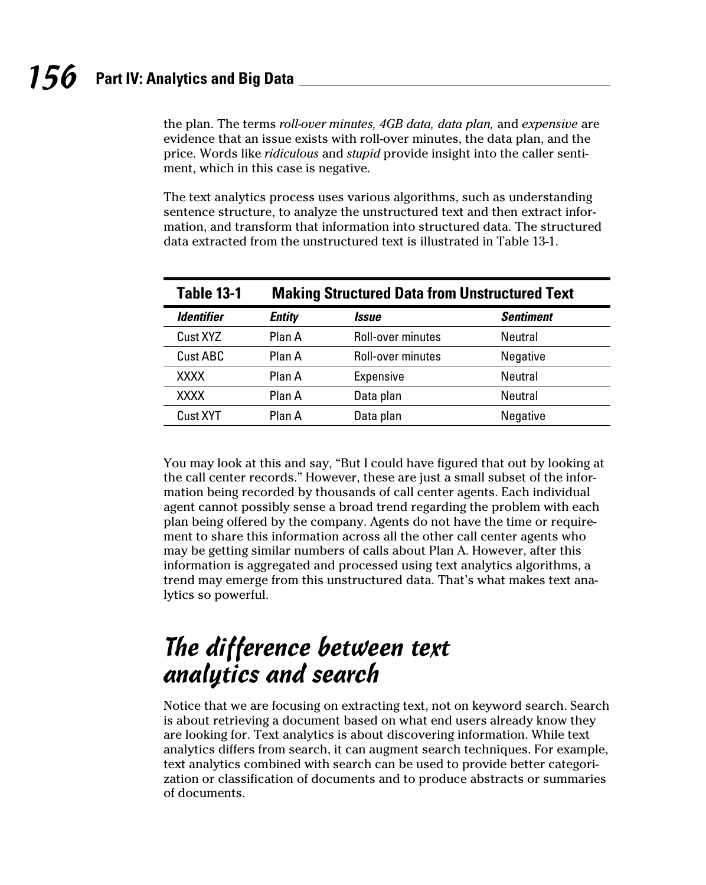the plan. The terms *roll-over minutes, 4GB data, data plan,* and *expensive* are evidence that an issue exists with roll-over minutes, the data plan, and the price. Words like *ridiculous* and *stupid* provide insight into the caller sentiment, which in this case is negative.

The text analytics process uses various algorithms, such as understanding sentence structure, to analyze the unstructured text and then extract information, and transform that information into structured data. The structured data extracted from the unstructured text is illustrated in Table 13-1.

| <b>Table 13-1</b>               | <b>Making Structured Data from Unstructured Text</b> |                   |                  |  |  |
|---------------------------------|------------------------------------------------------|-------------------|------------------|--|--|
| <i><u><b>Identifier</b></u></i> | <b>Entity</b>                                        | Issue             | <b>Sentiment</b> |  |  |
| Cust XYZ                        | Plan A                                               | Roll-over minutes | Neutral          |  |  |
| Cust ABC                        | Plan A                                               | Roll-over minutes | Negative         |  |  |
| <b>XXXX</b>                     | Plan A                                               | Expensive         | Neutral          |  |  |
| <b>XXXX</b>                     | Plan A                                               | Data plan         | Neutral          |  |  |
| Cust XYT                        | Plan A                                               | Data plan         | Negative         |  |  |
|                                 |                                                      |                   |                  |  |  |

You may look at this and say, "But I could have figured that out by looking at the call center records." However, these are just a small subset of the information being recorded by thousands of call center agents. Each individual agent cannot possibly sense a broad trend regarding the problem with each plan being offered by the company. Agents do not have the time or requirement to share this information across all the other call center agents who may be getting similar numbers of calls about Plan A. However, after this information is aggregated and processed using text analytics algorithms, a trend may emerge from this unstructured data. That's what makes text analytics so powerful.

#### The difference between text analytics and search

Notice that we are focusing on extracting text, not on keyword search. Search is about retrieving a document based on what end users already know they are looking for. Text analytics is about discovering information. While text analytics differs from search, it can augment search techniques. For example, text analytics combined with search can be used to provide better categorization or classification of documents and to produce abstracts or summaries of documents.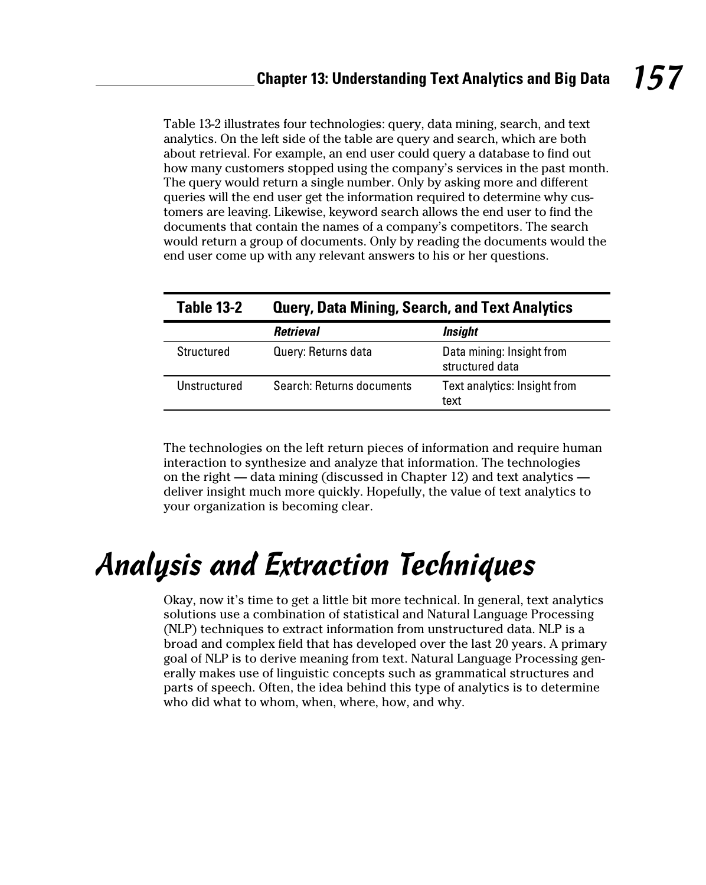Table 13-2 illustrates four technologies: query, data mining, search, and text analytics. On the left side of the table are query and search, which are both about retrieval. For example, an end user could query a database to find out how many customers stopped using the company's services in the past month. The query would return a single number. Only by asking more and different queries will the end user get the information required to determine why customers are leaving. Likewise, keyword search allows the end user to find the documents that contain the names of a company's competitors. The search would return a group of documents. Only by reading the documents would the end user come up with any relevant answers to his or her questions.

| Table 13-2   | <b>Query, Data Mining, Search, and Text Analytics</b> |                                              |  |
|--------------|-------------------------------------------------------|----------------------------------------------|--|
|              | <b>Retrieval</b>                                      | Insight                                      |  |
| Structured   | Query: Returns data                                   | Data mining: Insight from<br>structured data |  |
| Unstructured | Search: Returns documents                             | Text analytics: Insight from<br>text         |  |

The technologies on the left return pieces of information and require human interaction to synthesize and analyze that information. The technologies on the right — data mining (discussed in Chapter 12) and text analytics deliver insight much more quickly. Hopefully, the value of text analytics to your organization is becoming clear.

# Analysis and Extraction Techniques

Okay, now it's time to get a little bit more technical. In general, text analytics solutions use a combination of statistical and Natural Language Processing (NLP) techniques to extract information from unstructured data. NLP is a broad and complex field that has developed over the last 20 years. A primary goal of NLP is to derive meaning from text. Natural Language Processing generally makes use of linguistic concepts such as grammatical structures and parts of speech. Often, the idea behind this type of analytics is to determine who did what to whom, when, where, how, and why.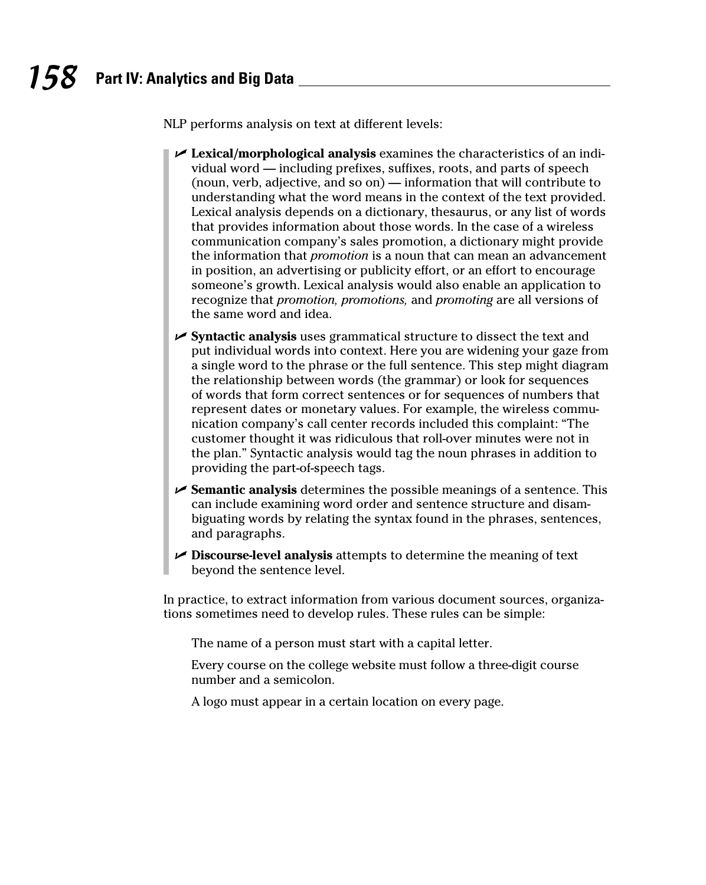NLP performs analysis on text at different levels:

- ✓ **Lexical/morphological analysis** examines the characteristics of an individual word — including prefixes, suffixes, roots, and parts of speech (noun, verb, adjective, and so on) — information that will contribute to understanding what the word means in the context of the text provided. Lexical analysis depends on a dictionary, thesaurus, or any list of words that provides information about those words. In the case of a wireless communication company's sales promotion, a dictionary might provide the information that *promotion* is a noun that can mean an advancement in position, an advertising or publicity effort, or an effort to encourage someone's growth. Lexical analysis would also enable an application to recognize that *promotion, promotions,* and *promoting* are all versions of the same word and idea.
- ✓ **Syntactic analysis** uses grammatical structure to dissect the text and put individual words into context. Here you are widening your gaze from a single word to the phrase or the full sentence. This step might diagram the relationship between words (the grammar) or look for sequences of words that form correct sentences or for sequences of numbers that represent dates or monetary values. For example, the wireless communication company's call center records included this complaint: "The customer thought it was ridiculous that roll-over minutes were not in the plan." Syntactic analysis would tag the noun phrases in addition to providing the part-of-speech tags.
- ✓ **Semantic analysis** determines the possible meanings of a sentence. This can include examining word order and sentence structure and disambiguating words by relating the syntax found in the phrases, sentences, and paragraphs.
- ✓ **Discourse-level analysis** attempts to determine the meaning of text beyond the sentence level.

In practice, to extract information from various document sources, organizations sometimes need to develop rules. These rules can be simple:

The name of a person must start with a capital letter.

Every course on the college website must follow a three-digit course number and a semicolon.

A logo must appear in a certain location on every page.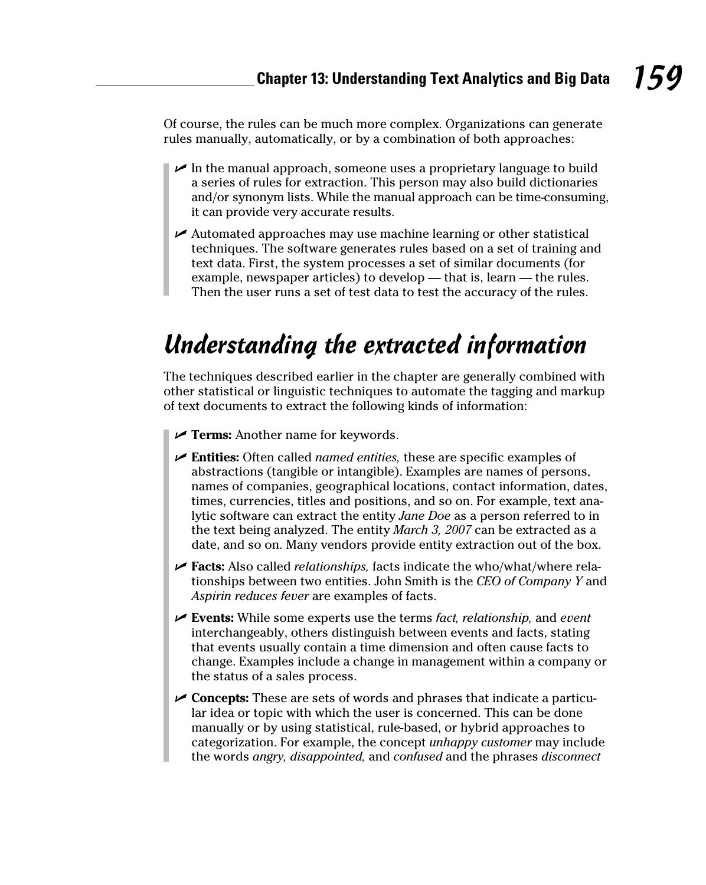Of course, the rules can be much more complex. Organizations can generate rules manually, automatically, or by a combination of both approaches:

- $\triangleright$  In the manual approach, someone uses a proprietary language to build a series of rules for extraction. This person may also build dictionaries and/or synonym lists. While the manual approach can be time-consuming, it can provide very accurate results.
- $\triangleright$  Automated approaches may use machine learning or other statistical techniques. The software generates rules based on a set of training and text data. First, the system processes a set of similar documents (for example, newspaper articles) to develop — that is, learn — the rules. Then the user runs a set of test data to test the accuracy of the rules.

#### Understanding the extracted information

The techniques described earlier in the chapter are generally combined with other statistical or linguistic techniques to automate the tagging and markup of text documents to extract the following kinds of information:

- ✓ **Terms:** Another name for keywords.
- ✓ **Entities:** Often called *named entities,* these are specific examples of abstractions (tangible or intangible). Examples are names of persons, names of companies, geographical locations, contact information, dates, times, currencies, titles and positions, and so on. For example, text analytic software can extract the entity *Jane Doe* as a person referred to in the text being analyzed. The entity *March 3, 2007* can be extracted as a date, and so on. Many vendors provide entity extraction out of the box.
- ✓ **Facts:** Also called *relationships,* facts indicate the who/what/where relationships between two entities. John Smith is the *CEO of Company Y* and *Aspirin reduces fever* are examples of facts.
- ✓ **Events:** While some experts use the terms *fact, relationship,* and *event*  interchangeably, others distinguish between events and facts, stating that events usually contain a time dimension and often cause facts to change. Examples include a change in management within a company or the status of a sales process.
- ✓ **Concepts:** These are sets of words and phrases that indicate a particular idea or topic with which the user is concerned. This can be done manually or by using statistical, rule-based, or hybrid approaches to categorization. For example, the concept *unhappy customer* may include the words *angry, disappointed,* and *confused* and the phrases *disconnect*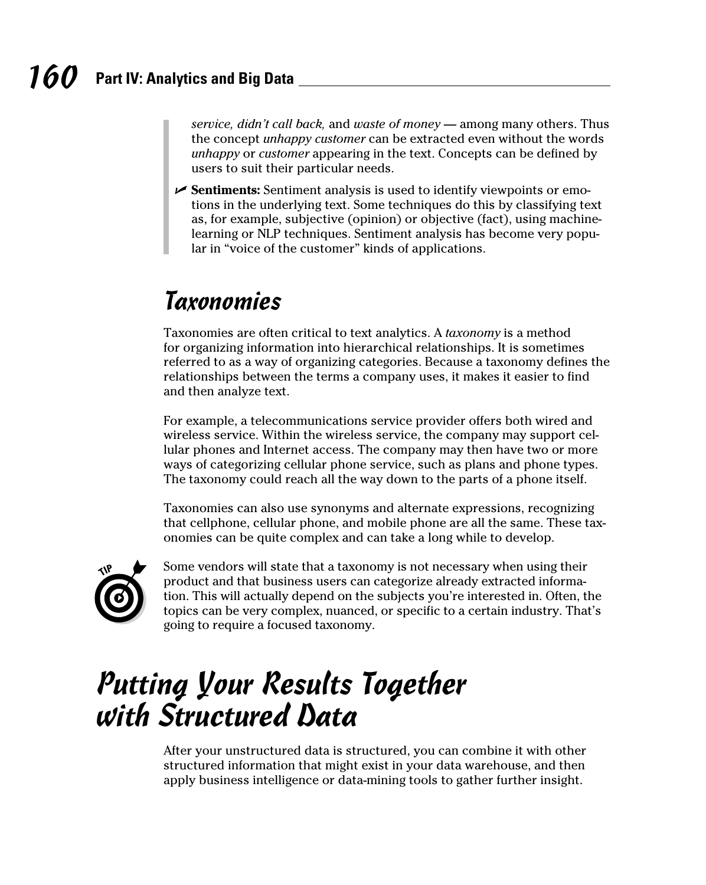*service, didn't call back,* and *waste of money* — among many others. Thus the concept *unhappy customer* can be extracted even without the words *unhappy* or *customer* appearing in the text. Concepts can be defined by users to suit their particular needs.

✓ **Sentiments:** Sentiment analysis is used to identify viewpoints or emotions in the underlying text. Some techniques do this by classifying text as, for example, subjective (opinion) or objective (fact), using machinelearning or NLP techniques. Sentiment analysis has become very popular in "voice of the customer" kinds of applications.

#### Taxonomies

Taxonomies are often critical to text analytics. A *taxonomy* is a method for organizing information into hierarchical relationships. It is sometimes referred to as a way of organizing categories. Because a taxonomy defines the relationships between the terms a company uses, it makes it easier to find and then analyze text.

For example, a telecommunications service provider offers both wired and wireless service. Within the wireless service, the company may support cellular phones and Internet access. The company may then have two or more ways of categorizing cellular phone service, such as plans and phone types. The taxonomy could reach all the way down to the parts of a phone itself.

Taxonomies can also use synonyms and alternate expressions, recognizing that cellphone, cellular phone, and mobile phone are all the same. These taxonomies can be quite complex and can take a long while to develop.



Some vendors will state that a taxonomy is not necessary when using their product and that business users can categorize already extracted information. This will actually depend on the subjects you're interested in. Often, the topics can be very complex, nuanced, or specific to a certain industry. That's going to require a focused taxonomy.

# Putting Your Results Together with Structured Data

After your unstructured data is structured, you can combine it with other structured information that might exist in your data warehouse, and then apply business intelligence or data-mining tools to gather further insight.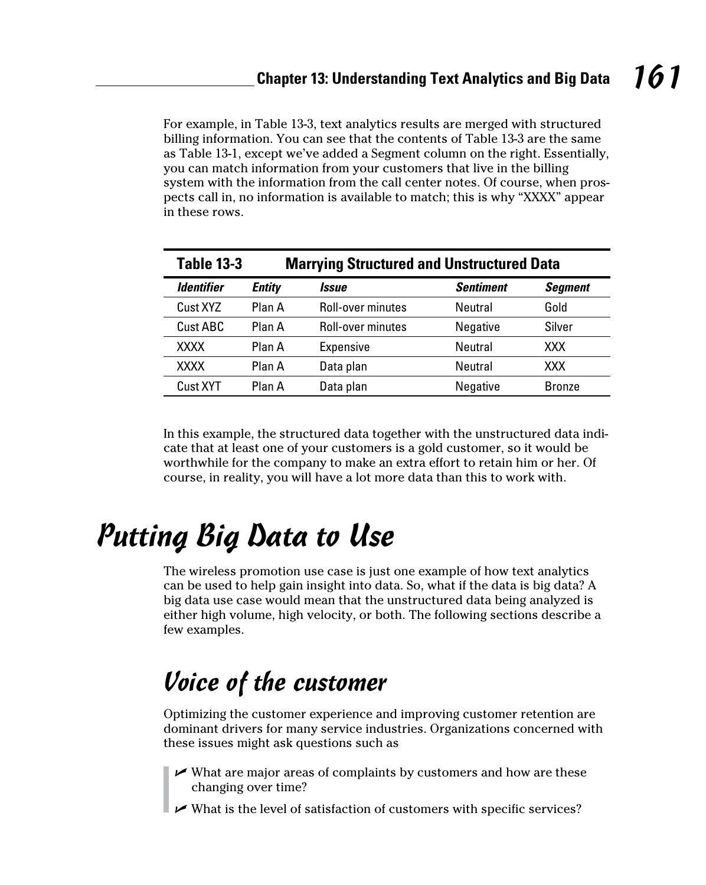For example, in Table 13-3, text analytics results are merged with structured billing information. You can see that the contents of Table 13-3 are the same as Table 13-1, except we've added a Segment column on the right. Essentially, you can match information from your customers that live in the billing system with the information from the call center notes. Of course, when prospects call in, no information is available to match; this is why "XXXX" appear in these rows.

| Table 13-3                      |               | <b>Marrying Structured and Unstructured Data</b> |                  |                |  |  |
|---------------------------------|---------------|--------------------------------------------------|------------------|----------------|--|--|
| <i><u><b>Identifier</b></u></i> | <b>Entity</b> | Issue                                            | <b>Sentiment</b> | <b>Segment</b> |  |  |
| Cust XYZ                        | Plan A        | <b>Roll-over minutes</b>                         | Neutral          | Gold           |  |  |
| Cust ABC                        | Plan A        | Roll-over minutes                                | Negative         | Silver         |  |  |
| XXXX                            | Plan A        | Expensive                                        | Neutral          | XXX            |  |  |
| <b>XXXX</b>                     | Plan A        | Data plan                                        | Neutral          | XXX            |  |  |
| Cust XYT                        | Plan A        | Data plan                                        | Negative         | <b>Bronze</b>  |  |  |

In this example, the structured data together with the unstructured data indicate that at least one of your customers is a gold customer, so it would be worthwhile for the company to make an extra effort to retain him or her. Of course, in reality, you will have a lot more data than this to work with.

# Putting Big Data to Use

The wireless promotion use case is just one example of how text analytics can be used to help gain insight into data. So, what if the data is big data? A big data use case would mean that the unstructured data being analyzed is either high volume, high velocity, or both. The following sections describe a few examples.

### Voice of the customer

Optimizing the customer experience and improving customer retention are dominant drivers for many service industries. Organizations concerned with these issues might ask questions such as

- $\triangleright$  What are major areas of complaints by customers and how are these changing over time?
- $\triangleright$  What is the level of satisfaction of customers with specific services?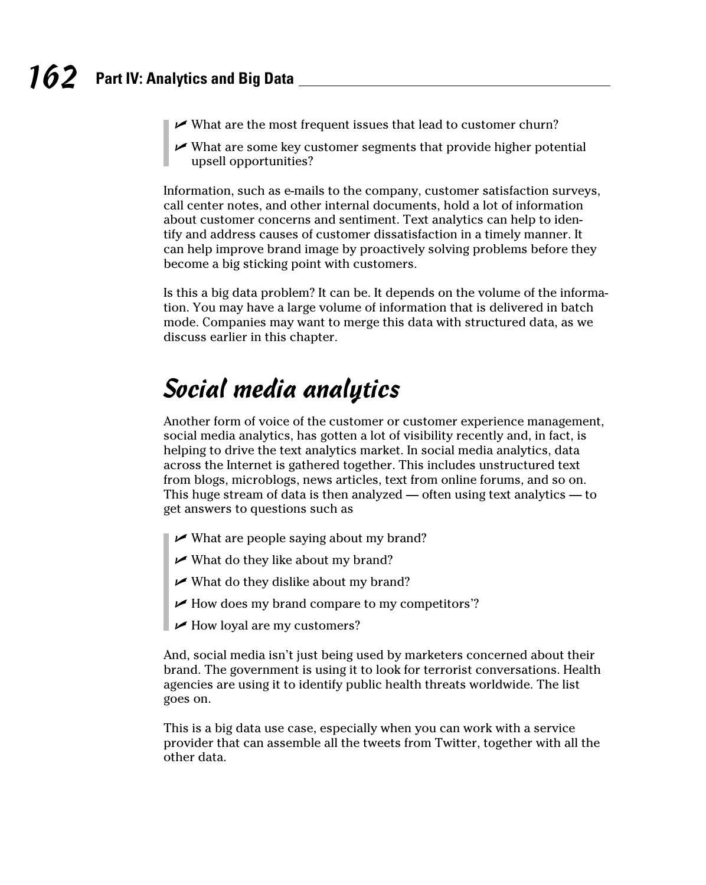- $\blacktriangleright$  What are the most frequent issues that lead to customer churn?
- $\boldsymbol{\nu}$  What are some key customer segments that provide higher potential upsell opportunities?

Information, such as e-mails to the company, customer satisfaction surveys, call center notes, and other internal documents, hold a lot of information about customer concerns and sentiment. Text analytics can help to identify and address causes of customer dissatisfaction in a timely manner. It can help improve brand image by proactively solving problems before they become a big sticking point with customers.

Is this a big data problem? It can be. It depends on the volume of the information. You may have a large volume of information that is delivered in batch mode. Companies may want to merge this data with structured data, as we discuss earlier in this chapter.

### Social media analytics

Another form of voice of the customer or customer experience management, social media analytics, has gotten a lot of visibility recently and, in fact, is helping to drive the text analytics market. In social media analytics, data across the Internet is gathered together. This includes unstructured text from blogs, microblogs, news articles, text from online forums, and so on. This huge stream of data is then analyzed — often using text analytics — to get answers to questions such as

- $\triangleright$  What are people saying about my brand?
- $\triangleright$  What do they like about my brand?
- $\triangleright$  What do they dislike about my brand?
- $\angle$  How does my brand compare to my competitors'?
- $\blacktriangleright$  How loyal are my customers?

And, social media isn't just being used by marketers concerned about their brand. The government is using it to look for terrorist conversations. Health agencies are using it to identify public health threats worldwide. The list goes on.

This is a big data use case, especially when you can work with a service provider that can assemble all the tweets from Twitter, together with all the other data.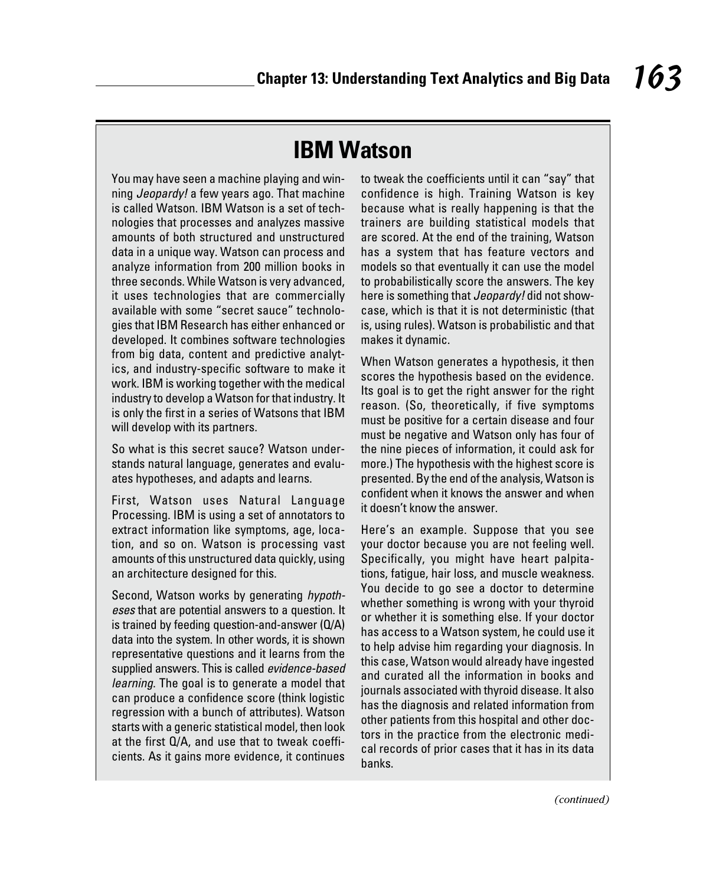#### **IBM Watson**

You may have seen a machine playing and winning *Jeopardy!* a few years ago. That machine is called Watson. IBM Watson is a set of technologies that processes and analyzes massive amounts of both structured and unstructured data in a unique way. Watson can process and analyze information from 200 million books in three seconds. While Watson is very advanced, it uses technologies that are commercially available with some "secret sauce" technologies that IBM Research has either enhanced or developed. It combines software technologies from big data, content and predictive analytics, and industry-specific software to make it work. IBM is working together with the medical industry to develop a Watson for that industry. It is only the first in a series of Watsons that IBM will develop with its partners.

So what is this secret sauce? Watson understands natural language, generates and evaluates hypotheses, and adapts and learns.

First, Watson uses Natural Language Processing. IBM is using a set of annotators to extract information like symptoms, age, location, and so on. Watson is processing vast amounts of this unstructured data quickly, using an architecture designed for this.

Second, Watson works by generating *hypotheses* that are potential answers to a question. It is trained by feeding question-and-answer (Q/A) data into the system. In other words, it is shown representative questions and it learns from the supplied answers. This is called *evidence-based learning*. The goal is to generate a model that can produce a confidence score (think logistic regression with a bunch of attributes). Watson starts with a generic statistical model, then look at the first Q/A, and use that to tweak coefficients. As it gains more evidence, it continues

to tweak the coefficients until it can "say" that confidence is high. Training Watson is key because what is really happening is that the trainers are building statistical models that are scored. At the end of the training, Watson has a system that has feature vectors and models so that eventually it can use the model to probabilistically score the answers. The key here is something that *Jeopardy!* did not showcase, which is that it is not deterministic (that is, using rules). Watson is probabilistic and that makes it dynamic.

When Watson generates a hypothesis, it then scores the hypothesis based on the evidence. Its goal is to get the right answer for the right reason. (So, theoretically, if five symptoms must be positive for a certain disease and four must be negative and Watson only has four of the nine pieces of information, it could ask for more.) The hypothesis with the highest score is presented. By the end of the analysis, Watson is confident when it knows the answer and when it doesn't know the answer.

Here's an example. Suppose that you see your doctor because you are not feeling well. Specifically, you might have heart palpitations, fatigue, hair loss, and muscle weakness. You decide to go see a doctor to determine whether something is wrong with your thyroid or whether it is something else. If your doctor has access to a Watson system, he could use it to help advise him regarding your diagnosis. In this case, Watson would already have ingested and curated all the information in books and journals associated with thyroid disease. It also has the diagnosis and related information from other patients from this hospital and other doctors in the practice from the electronic medical records of prior cases that it has in its data banks.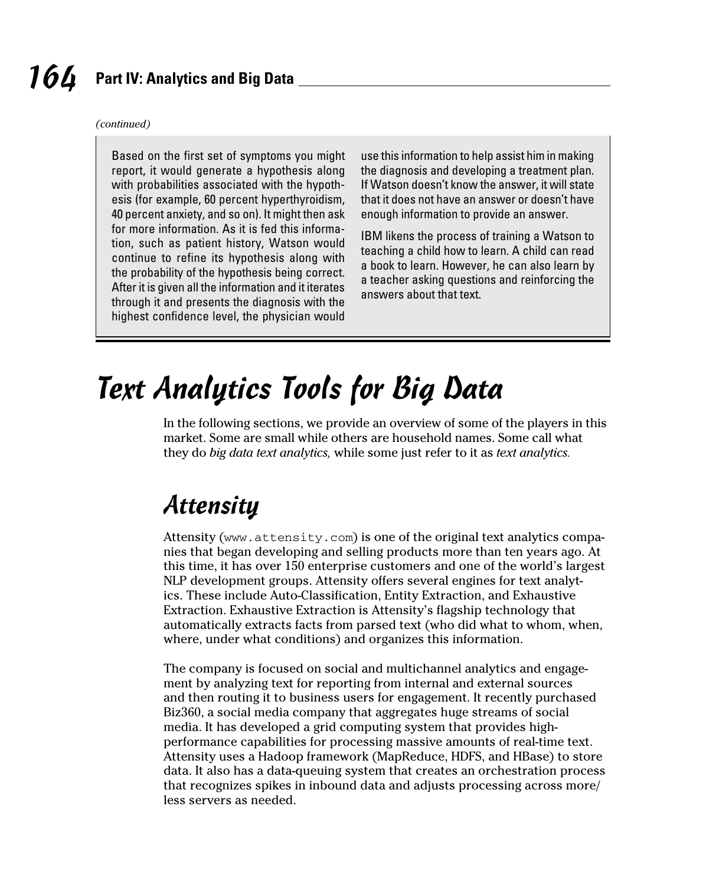*(continued)*

Based on the first set of symptoms you might report, it would generate a hypothesis along with probabilities associated with the hypothesis (for example, 60 percent hyperthyroidism, 40 percent anxiety, and so on). It might then ask for more information. As it is fed this information, such as patient history, Watson would continue to refine its hypothesis along with the probability of the hypothesis being correct. After it is given all the information and it iterates through it and presents the diagnosis with the highest confidence level, the physician would

use this information to help assist him in making the diagnosis and developing a treatment plan. If Watson doesn't know the answer, it will state that it does not have an answer or doesn't have enough information to provide an answer.

IBM likens the process of training a Watson to teaching a child how to learn. A child can read a book to learn. However, he can also learn by a teacher asking questions and reinforcing the answers about that text.

# Text Analytics Tools for Big Data

In the following sections, we provide an overview of some of the players in this market. Some are small while others are household names. Some call what they do *big data text analytics,* while some just refer to it as *text analytics.*

#### **Attensity**

Attensity ([www.attensity.com](http://www.attensity.com/)) is one of the original text analytics companies that began developing and selling products more than ten years ago. At this time, it has over 150 enterprise customers and one of the world's largest NLP development groups. Attensity offers several engines for text analytics. These include Auto-Classification, Entity Extraction, and Exhaustive Extraction. Exhaustive Extraction is Attensity's flagship technology that automatically extracts facts from parsed text (who did what to whom, when, where, under what conditions) and organizes this information.

The company is focused on social and multichannel analytics and engagement by analyzing text for reporting from internal and external sources and then routing it to business users for engagement. It recently purchased Biz360, a social media company that aggregates huge streams of social media. It has developed a grid computing system that provides highperformance capabilities for processing massive amounts of real-time text. Attensity uses a Hadoop framework (MapReduce, HDFS, and HBase) to store data. It also has a data-queuing system that creates an orchestration process that recognizes spikes in inbound data and adjusts processing across more/ less servers as needed.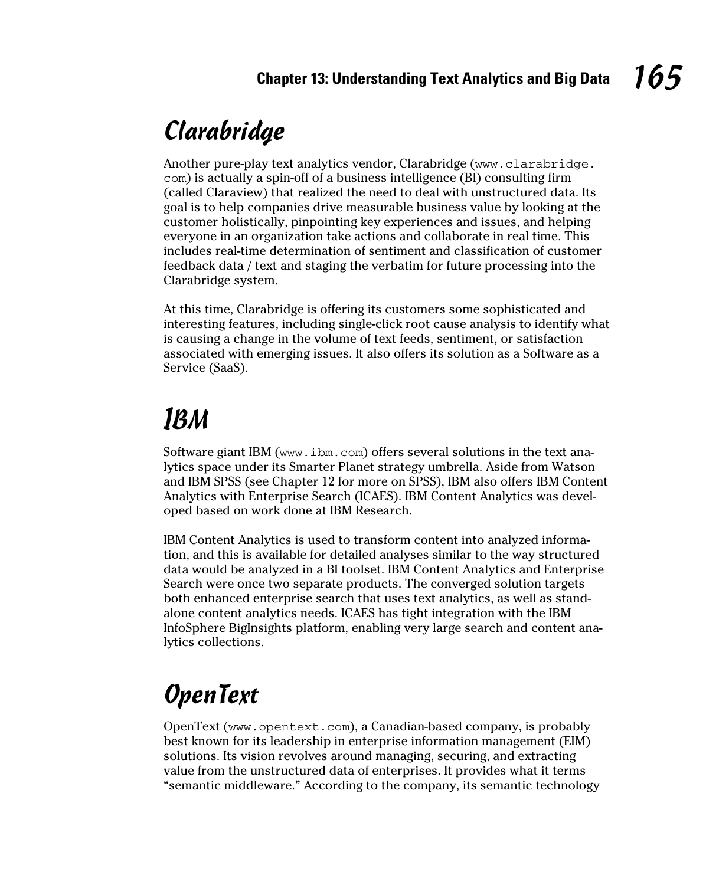#### Clarabridge

Another pure-play text analytics vendor, Clarabridge ([www.clarabridge.](http://www.clarabridge.com/) [com](http://www.clarabridge.com/)) is actually a spin-off of a business intelligence (BI) consulting firm (called Claraview) that realized the need to deal with unstructured data. Its goal is to help companies drive measurable business value by looking at the customer holistically, pinpointing key experiences and issues, and helping everyone in an organization take actions and collaborate in real time. This includes real-time determination of sentiment and classification of customer feedback data / text and staging the verbatim for future processing into the Clarabridge system.

At this time, Clarabridge is offering its customers some sophisticated and interesting features, including single-click root cause analysis to identify what is causing a change in the volume of text feeds, sentiment, or satisfaction associated with emerging issues. It also offers its solution as a Software as a Service (SaaS).

### IBM

Software giant IBM ([www.ibm.com](http://www.ibm.com/)) offers several solutions in the text analytics space under its Smarter Planet strategy umbrella. Aside from Watson and IBM SPSS (see Chapter 12 for more on SPSS), IBM also offers IBM Content Analytics with Enterprise Search (ICAES). IBM Content Analytics was developed based on work done at IBM Research.

IBM Content Analytics is used to transform content into analyzed information, and this is available for detailed analyses similar to the way structured data would be analyzed in a BI toolset. IBM Content Analytics and Enterprise Search were once two separate products. The converged solution targets both enhanced enterprise search that uses text analytics, as well as standalone content analytics needs. ICAES has tight integration with the IBM InfoSphere BigInsights platform, enabling very large search and content analytics collections.

# OpenText

OpenText ([www.opentext.com](http://www.opentext.com/)), a Canadian-based company, is probably best known for its leadership in enterprise information management (EIM) solutions. Its vision revolves around managing, securing, and extracting value from the unstructured data of enterprises. It provides what it terms "semantic middleware." According to the company, its semantic technology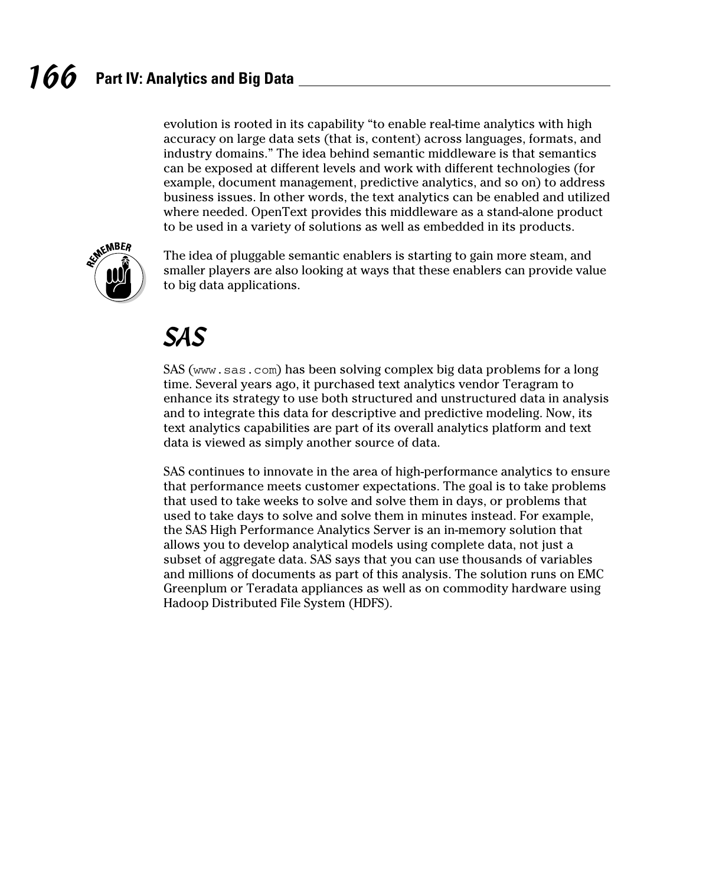evolution is rooted in its capability "to enable real-time analytics with high accuracy on large data sets (that is, content) across languages, formats, and industry domains." The idea behind semantic middleware is that semantics can be exposed at different levels and work with different technologies (for example, document management, predictive analytics, and so on) to address business issues. In other words, the text analytics can be enabled and utilized where needed. OpenText provides this middleware as a stand-alone product to be used in a variety of solutions as well as embedded in its products.



The idea of pluggable semantic enablers is starting to gain more steam, and smaller players are also looking at ways that these enablers can provide value to big data applications.

### SAS

SAS ([www.sas.com](http://www.sas.com/)) has been solving complex big data problems for a long time. Several years ago, it purchased text analytics vendor Teragram to enhance its strategy to use both structured and unstructured data in analysis and to integrate this data for descriptive and predictive modeling. Now, its text analytics capabilities are part of its overall analytics platform and text data is viewed as simply another source of data.

SAS continues to innovate in the area of high-performance analytics to ensure that performance meets customer expectations. The goal is to take problems that used to take weeks to solve and solve them in days, or problems that used to take days to solve and solve them in minutes instead. For example, the SAS High Performance Analytics Server is an in-memory solution that allows you to develop analytical models using complete data, not just a subset of aggregate data. SAS says that you can use thousands of variables and millions of documents as part of this analysis. The solution runs on EMC Greenplum or Teradata appliances as well as on commodity hardware using Hadoop Distributed File System (HDFS).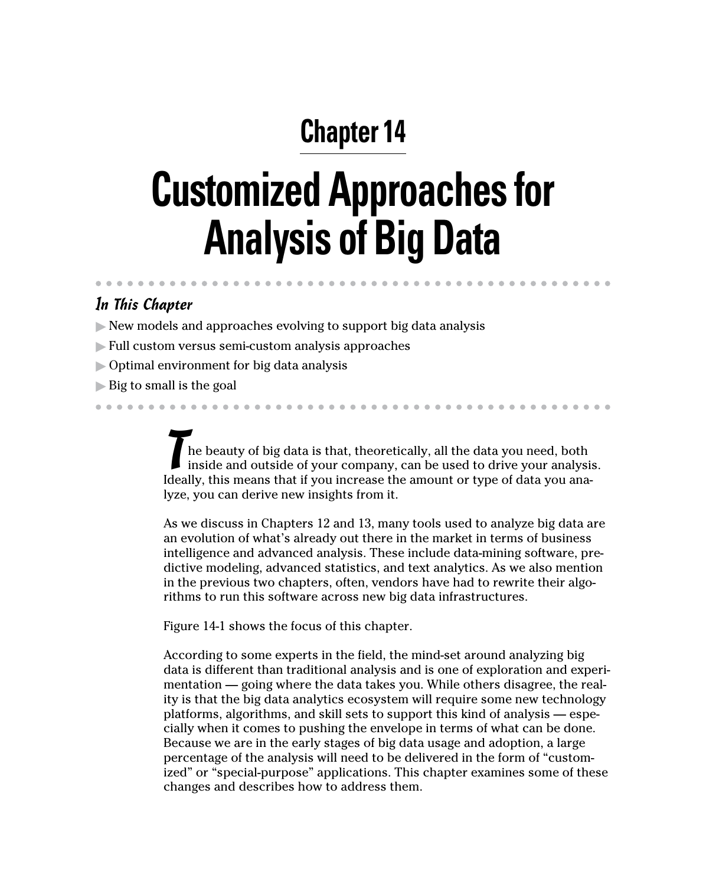### **Chapter 14**

# **Customized Approaches for Analysis of Big Data**

. . . . . . . . . . .

#### In This Chapter

- ▶ New models and approaches evolving to support big data analysis
- ▶ Full custom versus semi-custom analysis approaches
- ▶ Optimal environment for big data analysis

------------

 $\triangleright$  Big to small is the goal

. . . . . . . . .

The beauty of big data is that, theoretically, all the data you need, both inside and outside of your company, can be used to drive your analysis. Ideally, this means that if you increase the amount or type of data you analyze, you can derive new insights from it.

------------------------

As we discuss in Chapters 12 and 13, many tools used to analyze big data are an evolution of what's already out there in the market in terms of business intelligence and advanced analysis. These include data-mining software, predictive modeling, advanced statistics, and text analytics. As we also mention in the previous two chapters, often, vendors have had to rewrite their algorithms to run this software across new big data infrastructures.

Figure 14-1 shows the focus of this chapter.

According to some experts in the field, the mind-set around analyzing big data is different than traditional analysis and is one of exploration and experimentation — going where the data takes you. While others disagree, the reality is that the big data analytics ecosystem will require some new technology platforms, algorithms, and skill sets to support this kind of analysis — especially when it comes to pushing the envelope in terms of what can be done. Because we are in the early stages of big data usage and adoption, a large percentage of the analysis will need to be delivered in the form of "customized" or "special-purpose" applications. This chapter examines some of these changes and describes how to address them.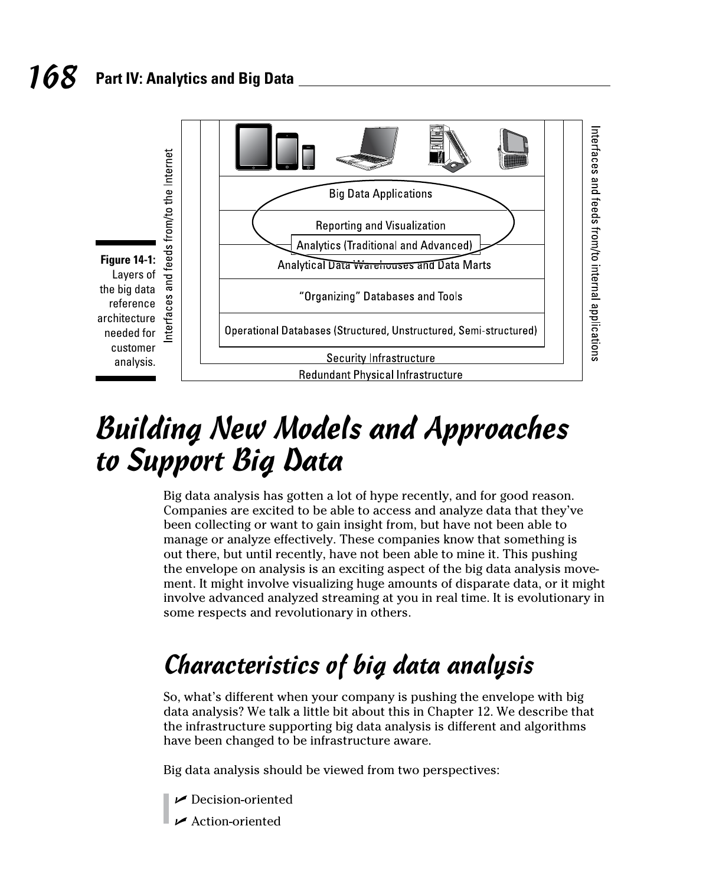

# Building New Models and Approaches to Support Big Data

Big data analysis has gotten a lot of hype recently, and for good reason. Companies are excited to be able to access and analyze data that they've been collecting or want to gain insight from, but have not been able to manage or analyze effectively. These companies know that something is out there, but until recently, have not been able to mine it. This pushing the envelope on analysis is an exciting aspect of the big data analysis movement. It might involve visualizing huge amounts of disparate data, or it might involve advanced analyzed streaming at you in real time. It is evolutionary in some respects and revolutionary in others.

# Characteristics of big data analysis

So, what's different when your company is pushing the envelope with big data analysis? We talk a little bit about this in Chapter 12. We describe that the infrastructure supporting big data analysis is different and algorithms have been changed to be infrastructure aware.

Big data analysis should be viewed from two perspectives:

- $\triangleright$  Decision-oriented
- ✓ Action-oriented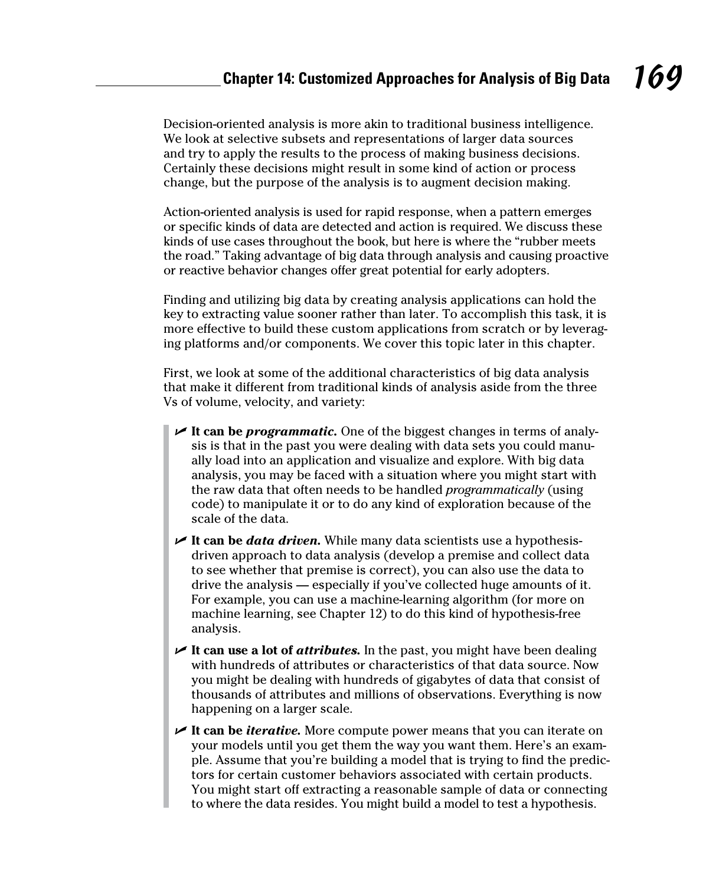Decision-oriented analysis is more akin to traditional business intelligence. We look at selective subsets and representations of larger data sources and try to apply the results to the process of making business decisions. Certainly these decisions might result in some kind of action or process change, but the purpose of the analysis is to augment decision making.

Action-oriented analysis is used for rapid response, when a pattern emerges or specific kinds of data are detected and action is required. We discuss these kinds of use cases throughout the book, but here is where the "rubber meets the road." Taking advantage of big data through analysis and causing proactive or reactive behavior changes offer great potential for early adopters.

Finding and utilizing big data by creating analysis applications can hold the key to extracting value sooner rather than later. To accomplish this task, it is more effective to build these custom applications from scratch or by leveraging platforms and/or components. We cover this topic later in this chapter.

First, we look at some of the additional characteristics of big data analysis that make it different from traditional kinds of analysis aside from the three Vs of volume, velocity, and variety:

- ✓ **It can be** *programmatic.* One of the biggest changes in terms of analysis is that in the past you were dealing with data sets you could manually load into an application and visualize and explore. With big data analysis, you may be faced with a situation where you might start with the raw data that often needs to be handled *programmatically* (using code) to manipulate it or to do any kind of exploration because of the scale of the data.
- ✓ **It can be** *data driven.* While many data scientists use a hypothesisdriven approach to data analysis (develop a premise and collect data to see whether that premise is correct), you can also use the data to drive the analysis — especially if you've collected huge amounts of it. For example, you can use a machine-learning algorithm (for more on machine learning, see Chapter 12) to do this kind of hypothesis-free analysis.
- ✓ **It can use a lot of** *attributes.* In the past, you might have been dealing with hundreds of attributes or characteristics of that data source. Now you might be dealing with hundreds of gigabytes of data that consist of thousands of attributes and millions of observations. Everything is now happening on a larger scale.
- ✓ **It can be** *iterative.* More compute power means that you can iterate on your models until you get them the way you want them. Here's an example. Assume that you're building a model that is trying to find the predictors for certain customer behaviors associated with certain products. You might start off extracting a reasonable sample of data or connecting to where the data resides. You might build a model to test a hypothesis.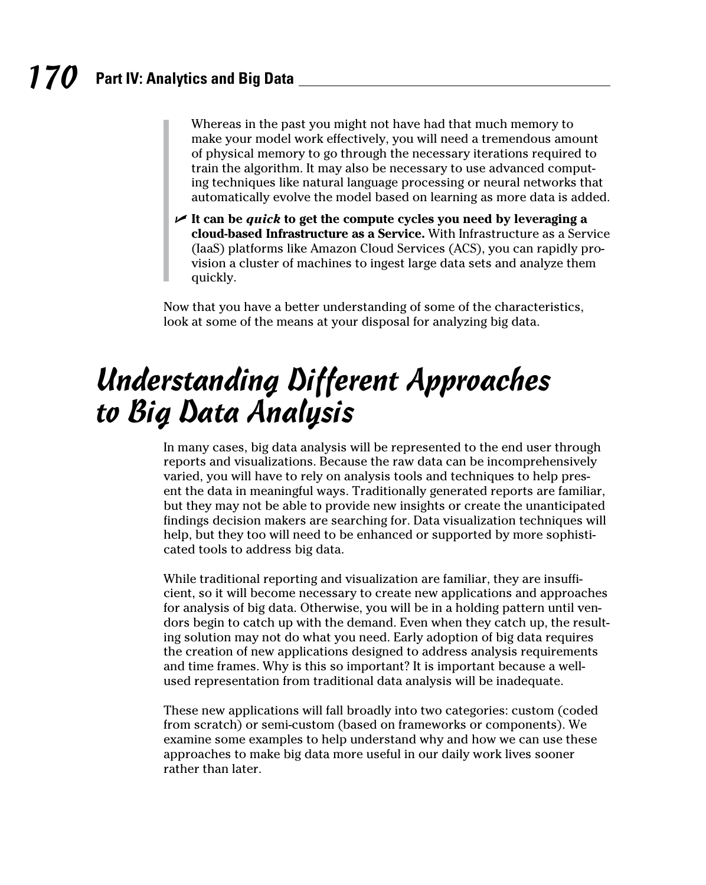Whereas in the past you might not have had that much memory to make your model work effectively, you will need a tremendous amount of physical memory to go through the necessary iterations required to train the algorithm. It may also be necessary to use advanced computing techniques like natural language processing or neural networks that automatically evolve the model based on learning as more data is added.

✓ **It can be** *quick* **to get the compute cycles you need by leveraging a cloud-based Infrastructure as a Service.** With Infrastructure as a Service (IaaS) platforms like Amazon Cloud Services (ACS), you can rapidly provision a cluster of machines to ingest large data sets and analyze them quickly.

Now that you have a better understanding of some of the characteristics, look at some of the means at your disposal for analyzing big data.

# Understanding Different Approaches to Big Data Analysis

In many cases, big data analysis will be represented to the end user through reports and visualizations. Because the raw data can be incomprehensively varied, you will have to rely on analysis tools and techniques to help present the data in meaningful ways. Traditionally generated reports are familiar, but they may not be able to provide new insights or create the unanticipated findings decision makers are searching for. Data visualization techniques will help, but they too will need to be enhanced or supported by more sophisticated tools to address big data.

While traditional reporting and visualization are familiar, they are insufficient, so it will become necessary to create new applications and approaches for analysis of big data. Otherwise, you will be in a holding pattern until vendors begin to catch up with the demand. Even when they catch up, the resulting solution may not do what you need. Early adoption of big data requires the creation of new applications designed to address analysis requirements and time frames. Why is this so important? It is important because a wellused representation from traditional data analysis will be inadequate.

These new applications will fall broadly into two categories: custom (coded from scratch) or semi-custom (based on frameworks or components). We examine some examples to help understand why and how we can use these approaches to make big data more useful in our daily work lives sooner rather than later.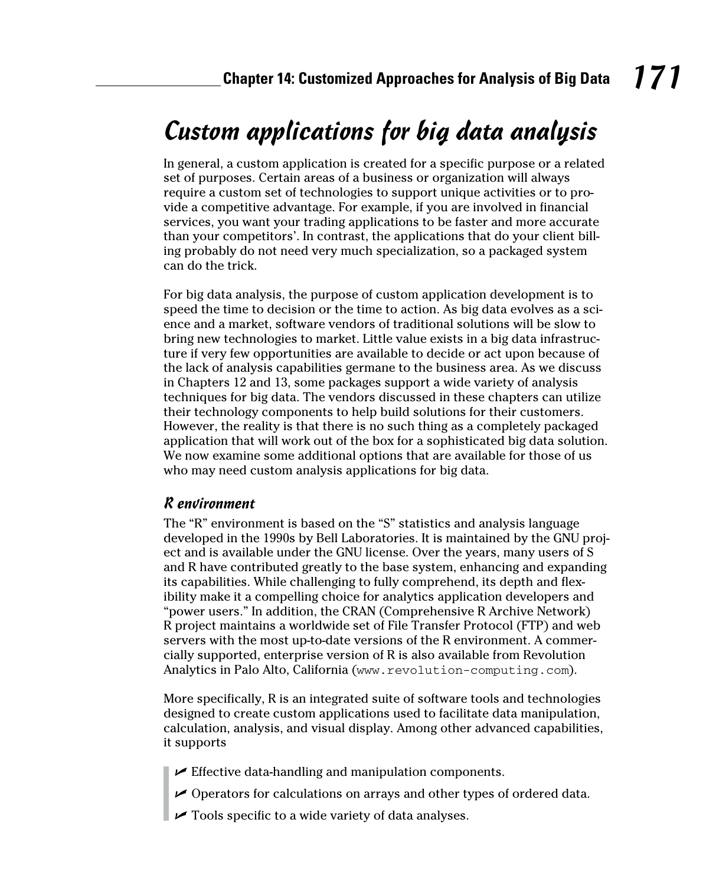#### Custom applications for big data analysis

In general, a custom application is created for a specific purpose or a related set of purposes. Certain areas of a business or organization will always require a custom set of technologies to support unique activities or to provide a competitive advantage. For example, if you are involved in financial services, you want your trading applications to be faster and more accurate than your competitors'. In contrast, the applications that do your client billing probably do not need very much specialization, so a packaged system can do the trick.

For big data analysis, the purpose of custom application development is to speed the time to decision or the time to action. As big data evolves as a science and a market, software vendors of traditional solutions will be slow to bring new technologies to market. Little value exists in a big data infrastructure if very few opportunities are available to decide or act upon because of the lack of analysis capabilities germane to the business area. As we discuss in Chapters 12 and 13, some packages support a wide variety of analysis techniques for big data. The vendors discussed in these chapters can utilize their technology components to help build solutions for their customers. However, the reality is that there is no such thing as a completely packaged application that will work out of the box for a sophisticated big data solution. We now examine some additional options that are available for those of us who may need custom analysis applications for big data.

#### R environment

The "R" environment is based on the "S" statistics and analysis language developed in the 1990s by Bell Laboratories. It is maintained by the GNU project and is available under the GNU license. Over the years, many users of S and R have contributed greatly to the base system, enhancing and expanding its capabilities. While challenging to fully comprehend, its depth and flexibility make it a compelling choice for analytics application developers and "power users." In addition, the CRAN (Comprehensive R Archive Network) R project maintains a worldwide set of File Transfer Protocol (FTP) and web servers with the most up-to-date versions of the R environment. A commercially supported, enterprise version of R is also available from Revolution Analytics in Palo Alto, California ([www.revolution-computing.com](http://www.revolution-computing.com/)).

More specifically, R is an integrated suite of software tools and technologies designed to create custom applications used to facilitate data manipulation, calculation, analysis, and visual display. Among other advanced capabilities, it supports

- $\blacktriangleright$  Effective data-handling and manipulation components.
- ✓ Operators for calculations on arrays and other types of ordered data.
- $\triangleright$  Tools specific to a wide variety of data analyses.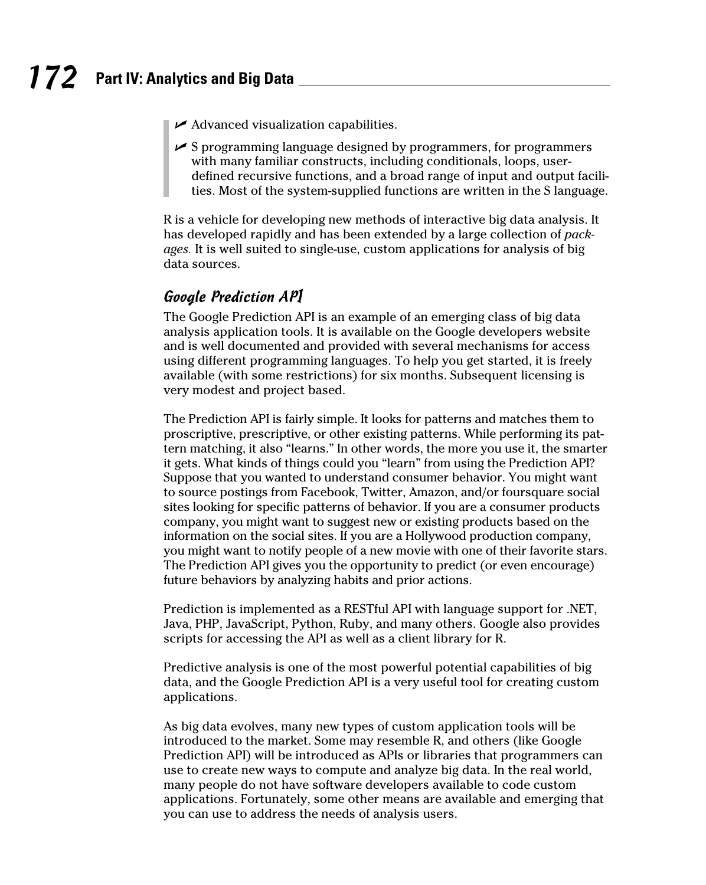- $\blacktriangleright$  Advanced visualization capabilities.
- $\angle$  S programming language designed by programmers, for programmers with many familiar constructs, including conditionals, loops, userdefined recursive functions, and a broad range of input and output facilities. Most of the system-supplied functions are written in the S language.

R is a vehicle for developing new methods of interactive big data analysis. It has developed rapidly and has been extended by a large collection of *packages.* It is well suited to single-use, custom applications for analysis of big data sources.

#### Google Prediction API

The Google Prediction API is an example of an emerging class of big data analysis application tools. It is available on the Google developers website and is well documented and provided with several mechanisms for access using different programming languages. To help you get started, it is freely available (with some restrictions) for six months. Subsequent licensing is very modest and project based.

The Prediction API is fairly simple. It looks for patterns and matches them to proscriptive, prescriptive, or other existing patterns. While performing its pattern matching, it also "learns." In other words, the more you use it, the smarter it gets. What kinds of things could you "learn" from using the Prediction API? Suppose that you wanted to understand consumer behavior. You might want to source postings from Facebook, Twitter, Amazon, and/or foursquare social sites looking for specific patterns of behavior. If you are a consumer products company, you might want to suggest new or existing products based on the information on the social sites. If you are a Hollywood production company, you might want to notify people of a new movie with one of their favorite stars. The Prediction API gives you the opportunity to predict (or even encourage) future behaviors by analyzing habits and prior actions.

Prediction is implemented as a RESTful API with language support for .NET, Java, PHP, JavaScript, Python, Ruby, and many others. Google also provides scripts for accessing the API as well as a client library for R.

Predictive analysis is one of the most powerful potential capabilities of big data, and the Google Prediction API is a very useful tool for creating custom applications.

As big data evolves, many new types of custom application tools will be introduced to the market. Some may resemble R, and others (like Google Prediction API) will be introduced as APIs or libraries that programmers can use to create new ways to compute and analyze big data. In the real world, many people do not have software developers available to code custom applications. Fortunately, some other means are available and emerging that you can use to address the needs of analysis users.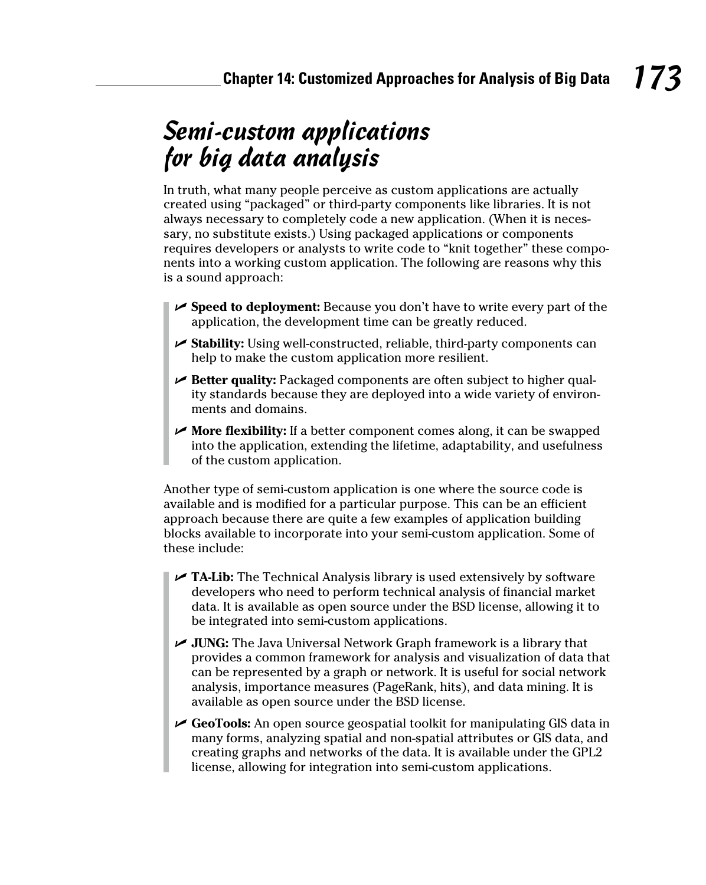#### Semi-custom applications for big data analysis

In truth, what many people perceive as custom applications are actually created using "packaged" or third-party components like libraries. It is not always necessary to completely code a new application. (When it is necessary, no substitute exists.) Using packaged applications or components requires developers or analysts to write code to "knit together" these components into a working custom application. The following are reasons why this is a sound approach:

- ✓ **Speed to deployment:** Because you don't have to write every part of the application, the development time can be greatly reduced.
- ✓ **Stability:** Using well-constructed, reliable, third-party components can help to make the custom application more resilient.
- ✓ **Better quality:** Packaged components are often subject to higher quality standards because they are deployed into a wide variety of environments and domains.
- ✓ **More flexibility:** If a better component comes along, it can be swapped into the application, extending the lifetime, adaptability, and usefulness of the custom application.

Another type of semi-custom application is one where the source code is available and is modified for a particular purpose. This can be an efficient approach because there are quite a few examples of application building blocks available to incorporate into your semi-custom application. Some of these include:

- ✓ **TA-Lib:** The Technical Analysis library is used extensively by software developers who need to perform technical analysis of financial market data. It is available as open source under the BSD license, allowing it to be integrated into semi-custom applications.
- ✓ **JUNG:** The Java Universal Network Graph framework is a library that provides a common framework for analysis and visualization of data that can be represented by a graph or network. It is useful for social network analysis, importance measures (PageRank, hits), and data mining. It is available as open source under the BSD license.
- ✓ **GeoTools:** An open source geospatial toolkit for manipulating GIS data in many forms, analyzing spatial and non-spatial attributes or GIS data, and creating graphs and networks of the data. It is available under the GPL2 license, allowing for integration into semi-custom applications.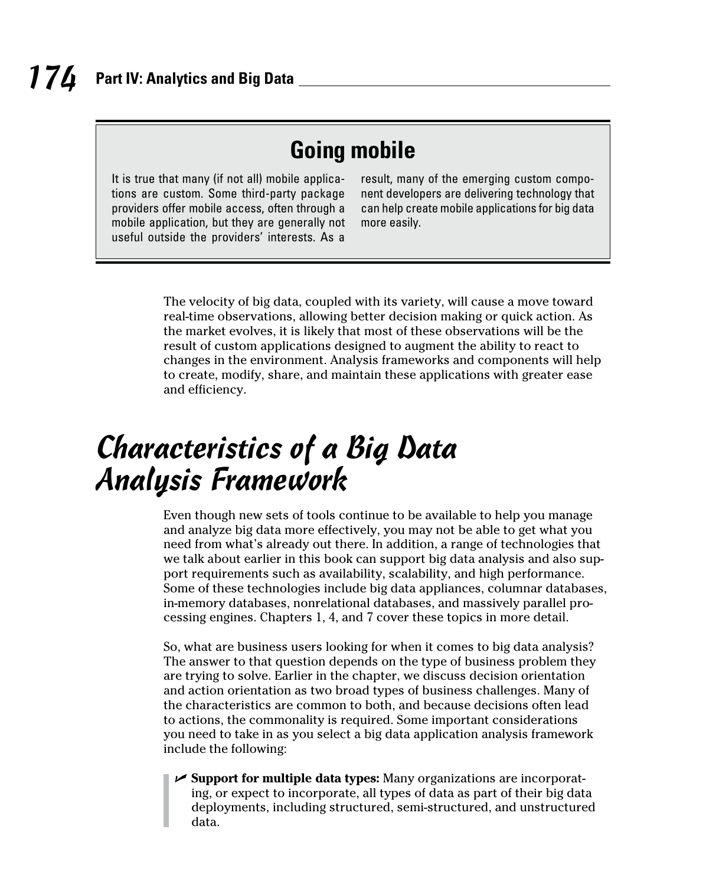#### **Going mobile**

It is true that many (if not all) mobile applications are custom. Some third-party package providers offer mobile access, often through a mobile application, but they are generally not useful outside the providers' interests. As a

result, many of the emerging custom component developers are delivering technology that can help create mobile applications for big data more easily.

The velocity of big data, coupled with its variety, will cause a move toward real-time observations, allowing better decision making or quick action. As the market evolves, it is likely that most of these observations will be the result of custom applications designed to augment the ability to react to changes in the environment. Analysis frameworks and components will help to create, modify, share, and maintain these applications with greater ease and efficiency.

### Characteristics of a Big Data Analysis Framework

Even though new sets of tools continue to be available to help you manage and analyze big data more effectively, you may not be able to get what you need from what's already out there. In addition, a range of technologies that we talk about earlier in this book can support big data analysis and also support requirements such as availability, scalability, and high performance. Some of these technologies include big data appliances, columnar databases, in-memory databases, nonrelational databases, and massively parallel processing engines. Chapters 1, 4, and 7 cover these topics in more detail.

So, what are business users looking for when it comes to big data analysis? The answer to that question depends on the type of business problem they are trying to solve. Earlier in the chapter, we discuss decision orientation and action orientation as two broad types of business challenges. Many of the characteristics are common to both, and because decisions often lead to actions, the commonality is required. Some important considerations you need to take in as you select a big data application analysis framework include the following:

✓ **Support for multiple data types:** Many organizations are incorporating, or expect to incorporate, all types of data as part of their big data deployments, including structured, semi-structured, and unstructured data.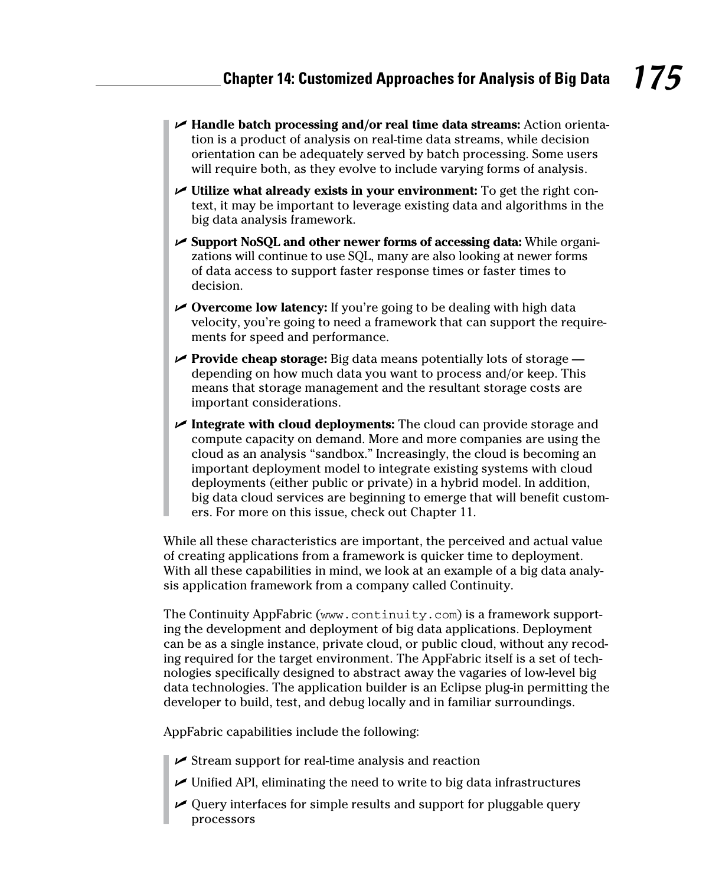- ✓ **Handle batch processing and/or real time data streams:** Action orientation is a product of analysis on real-time data streams, while decision orientation can be adequately served by batch processing. Some users will require both, as they evolve to include varying forms of analysis.
- ✓ **Utilize what already exists in your environment:** To get the right context, it may be important to leverage existing data and algorithms in the big data analysis framework.
- ✓ **Support NoSQL and other newer forms of accessing data:** While organizations will continue to use SQL, many are also looking at newer forms of data access to support faster response times or faster times to decision.
- ✓ **Overcome low latency:** If you're going to be dealing with high data velocity, you're going to need a framework that can support the requirements for speed and performance.
- ✓ **Provide cheap storage:** Big data means potentially lots of storage depending on how much data you want to process and/or keep. This means that storage management and the resultant storage costs are important considerations.
- ✓ **Integrate with cloud deployments:** The cloud can provide storage and compute capacity on demand. More and more companies are using the cloud as an analysis "sandbox." Increasingly, the cloud is becoming an important deployment model to integrate existing systems with cloud deployments (either public or private) in a hybrid model. In addition, big data cloud services are beginning to emerge that will benefit customers. For more on this issue, check out Chapter 11.

While all these characteristics are important, the perceived and actual value of creating applications from a framework is quicker time to deployment. With all these capabilities in mind, we look at an example of a big data analysis application framework from a company called Continuity.

The Continuity AppFabric ([www.continuity.com](http://www.continuity.com)) is a framework supporting the development and deployment of big data applications. Deployment can be as a single instance, private cloud, or public cloud, without any recoding required for the target environment. The AppFabric itself is a set of technologies specifically designed to abstract away the vagaries of low-level big data technologies. The application builder is an Eclipse plug-in permitting the developer to build, test, and debug locally and in familiar surroundings.

AppFabric capabilities include the following:

- $\triangleright$  Stream support for real-time analysis and reaction
- $\blacktriangleright$  Unified API, eliminating the need to write to big data infrastructures
- $\vee$  Query interfaces for simple results and support for pluggable query processors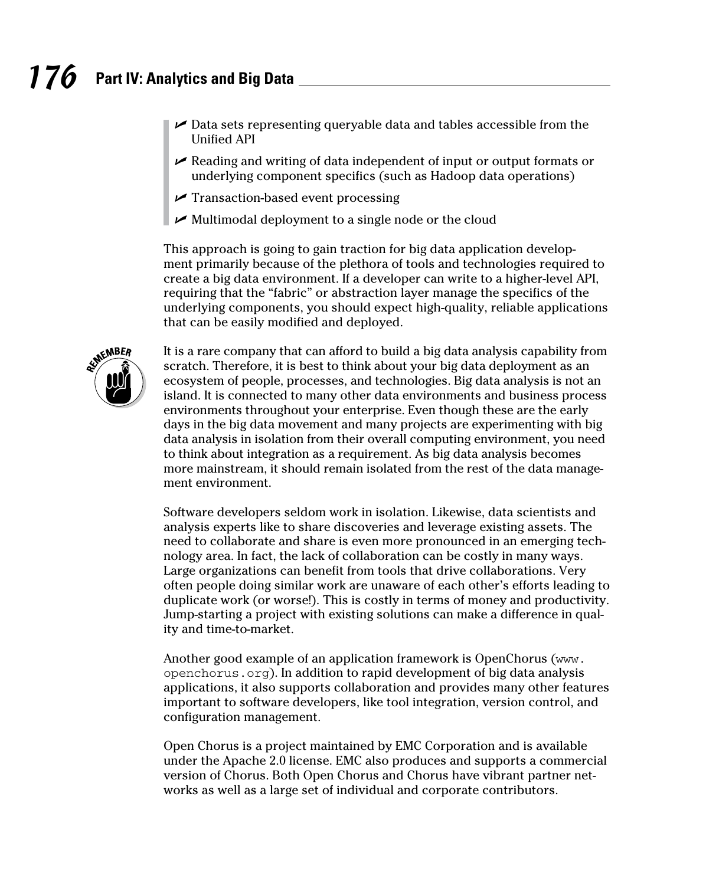- $\triangleright$  Data sets representing queryable data and tables accessible from the Unified API
- $\triangleright$  Reading and writing of data independent of input or output formats or underlying component specifics (such as Hadoop data operations)
- $\triangleright$  Transaction-based event processing
- $\mathcal V$  Multimodal deployment to a single node or the cloud

This approach is going to gain traction for big data application development primarily because of the plethora of tools and technologies required to create a big data environment. If a developer can write to a higher-level API, requiring that the "fabric" or abstraction layer manage the specifics of the underlying components, you should expect high-quality, reliable applications that can be easily modified and deployed.



It is a rare company that can afford to build a big data analysis capability from scratch. Therefore, it is best to think about your big data deployment as an ecosystem of people, processes, and technologies. Big data analysis is not an island. It is connected to many other data environments and business process environments throughout your enterprise. Even though these are the early days in the big data movement and many projects are experimenting with big data analysis in isolation from their overall computing environment, you need to think about integration as a requirement. As big data analysis becomes more mainstream, it should remain isolated from the rest of the data management environment.

Software developers seldom work in isolation. Likewise, data scientists and analysis experts like to share discoveries and leverage existing assets. The need to collaborate and share is even more pronounced in an emerging technology area. In fact, the lack of collaboration can be costly in many ways. Large organizations can benefit from tools that drive collaborations. Very often people doing similar work are unaware of each other's efforts leading to duplicate work (or worse!). This is costly in terms of money and productivity. Jump-starting a project with existing solutions can make a difference in quality and time-to-market.

Another good example of an application framework is OpenChorus ([www.](http://www.openchorus.org/) [openchorus.org](http://www.openchorus.org/)). In addition to rapid development of big data analysis applications, it also supports collaboration and provides many other features important to software developers, like tool integration, version control, and configuration management.

Open Chorus is a project maintained by EMC Corporation and is available under the Apache 2.0 license. EMC also produces and supports a commercial version of Chorus. Both Open Chorus and Chorus have vibrant partner networks as well as a large set of individual and corporate contributors.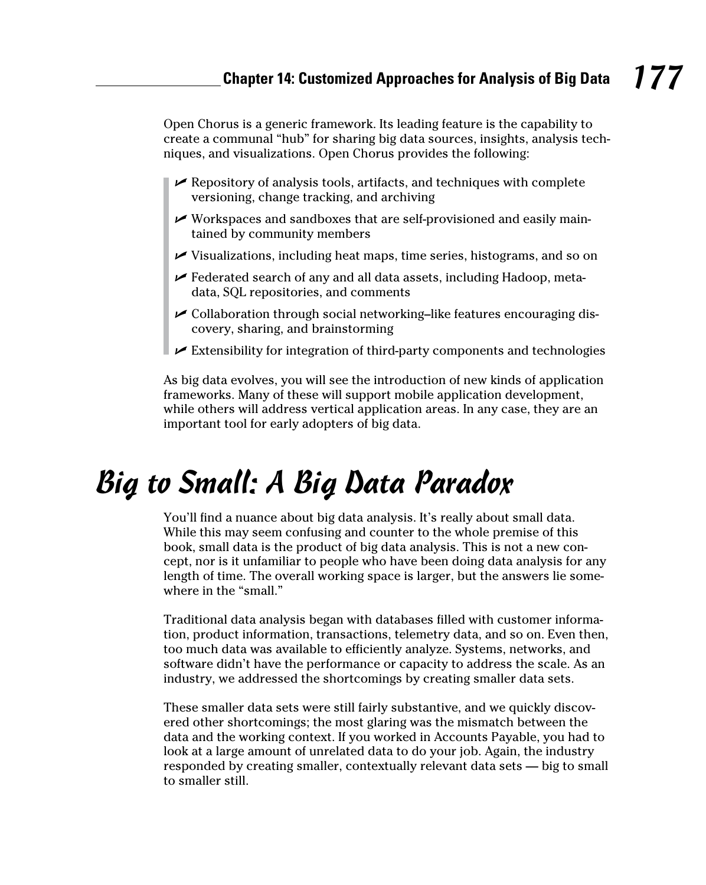Open Chorus is a generic framework. Its leading feature is the capability to create a communal "hub" for sharing big data sources, insights, analysis techniques, and visualizations. Open Chorus provides the following:

- $\blacktriangleright$  Repository of analysis tools, artifacts, and techniques with complete versioning, change tracking, and archiving
- $\triangleright$  Workspaces and sandboxes that are self-provisioned and easily maintained by community members
- $\triangleright$  Visualizations, including heat maps, time series, histograms, and so on
- $\triangleright$  Federated search of any and all data assets, including Hadoop, metadata, SQL repositories, and comments
- $\triangleright$  Collaboration through social networking–like features encouraging discovery, sharing, and brainstorming
- $\triangleright$  Extensibility for integration of third-party components and technologies

As big data evolves, you will see the introduction of new kinds of application frameworks. Many of these will support mobile application development, while others will address vertical application areas. In any case, they are an important tool for early adopters of big data.

# Big to Small: A Big Data Paradox

You'll find a nuance about big data analysis. It's really about small data. While this may seem confusing and counter to the whole premise of this book, small data is the product of big data analysis. This is not a new concept, nor is it unfamiliar to people who have been doing data analysis for any length of time. The overall working space is larger, but the answers lie somewhere in the "small."

Traditional data analysis began with databases filled with customer information, product information, transactions, telemetry data, and so on. Even then, too much data was available to efficiently analyze. Systems, networks, and software didn't have the performance or capacity to address the scale. As an industry, we addressed the shortcomings by creating smaller data sets.

These smaller data sets were still fairly substantive, and we quickly discovered other shortcomings; the most glaring was the mismatch between the data and the working context. If you worked in Accounts Payable, you had to look at a large amount of unrelated data to do your job. Again, the industry responded by creating smaller, contextually relevant data sets — big to small to smaller still.